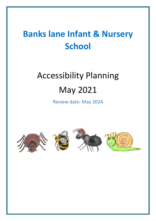## **Banks lane Infant & Nursery School**

# Accessibility Planning May 2021

Review date: May 2024







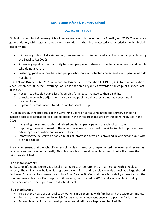#### **Banks Lane Infant & Nursery School**

#### ACCESSIBILITY PLAN

At Banks Lane Infant & Nursery School we welcome our duties under the Equality Act 2010. The school's general duties, with regards to equality, in relation to the nine protected characteristics, which include disability are:

- Eliminating unlawful discrimination, harassment, victimisation and any other conduct prohibited by the Equality Act 2010;
- Advancing equality of opportunity between people who share a protected characteristic and people who do not share it;
- Fostering good relations between people who share a protected characteristic and people who do not share it.

The SEN and Disability Act 2001 extended the Disability Discrimination Act 1995 (DDA) to cover education. Since September 2002, the Governing Board has had three key duties towards disabled pupils, under Part 4 of the DDA:

- 1. not to treat disabled pupils less favourably for a reason related to their disability;
- 2. to make reasonable adjustments for disabled pupils, so that they are not at a substantial disadvantage;
- 3. to plan to increase access to education for disabled pupils.

This plan sets out the proposals of the Governing Board of Banks Lane Infant and Nursery School to increase access to education for disabled pupils in the three areas required by the planning duties in the DDA:

- 1. increasing the extent to which disabled pupils can participate in the school curriculum;
- 2. improving the environment of the school to increase the extent to which disabled pupils can take advantage of education and associated services;
- 3. improving the delivery to disabled pupils of information, which is provided in writing for pupils who are not disabled.

It is a requirement that the school's accessibility plan is resourced, implemented, reviewed and revised as necessary and reported on annually. This plan details actions showing how the school will address the priorities identified.

#### **The School's Context**

Banks Lane Infant and Nursery is a locally maintained, three form entry infant school with a 40 place nursery. The main school building is single storey with front and rear playgrounds as well as a large shared field area. School can be accessed via Hulme St or George St West and there is disability access to both the front and rear entrances. Our purpose built nursery, constructed in 2015 is fully accessible, including wheelchair access, open spaces and a disabled toilet.

#### **The School's Aims**

- To be at the heart of our locality by working in partnership with families and the wider community
- To be a learning community which fosters creativity, independence and a passion for learning
- To enable our children to develop the essential skills for a happy and fulfilled life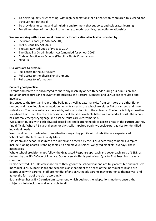- To deliver quality first teaching, with high expectations for all, that enables children to succeed and achieve their potential
- To provide a nurturing and stimulating environment that supports and celebrates learning
- For all members of the school community to model positive, respectful relationships

#### **We are working within a national framework for educational inclusion provided by:**

- Inclusive School (DfES 0774/2001)
- SEN & Disability Act 2001
- The SEN Revised Code of Practice 2014
- The Disability Discrimination Act (amended for school 2001)
- Code of Practice for Schools (Disability Rights Commission)
- OFSTED

#### **Our Aims are to provide:**

- 1. Full access to the curriculum
- 2. Full access to the physical environment
- 3. Full access to information

#### **Current good practice:**

Parents and carers are encouraged to share any disability or health needs during our admission and induction procedures and relevant staff including the Pastoral Manager and SENCo are consulted and involved.

Entrances to the front and rear of the building as well as external exits from corridors are either flat or ramped and have double opening doors. All entrances to the school are either flat or ramped and have wide doors. The main entrance has a wide, automatic door into the entrance. The lobby is fully accessible for wheelchair users. There are accessible toilet facilities available fitted with a handrail hoist. The school has internal emergency signage and escape routes are clearly marked.

We support pupils with both physical disabilities and learning needs to access areas of the curriculum they find difficult. Where PE is a challenge for physically impaired pupils we seek expert advice for identified individual needs.

We consult with experts when new situations regarding pupils with disabilities are experienced. School holds the Inclusion Quality Mark.

Classroom and school resources are audited and ordered by the SENCo according to need. Examples include, sloping boards, standing tables, sit and move cushions, weighted blankets, overlays, chew accessories.

Whole school provision maps follow the Graduated Response approach and cover each area of SEND as defined by the SEND Code of Practice. Our universal offer is part of our Quality First Teaching in every classroom.

Person centred SEND Reviews take place throughout the school year and are fully accessible and inclusive. Individual SEND Support Plans are bespoke plans that meet the needs of the individual child and are coproduced with parents. Staff are mindful of any SEND needs parents may experience themselves, and adjust the format of the plan accordingly.

Each subject has a SEND curriculum statement, which outlines the adaptations made to ensure the subjects is fully inclusive and accessible to all.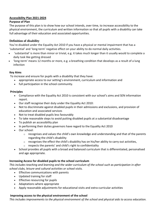#### **Accessibility Plan 2021-2024**

#### **Purpose of Plan**

The purpose of this plan is to show how our school intends, over time, to increase accessibility to the physical environment, the curriculum and written information so that all pupils with a disability can take full advantage of their education and associated opportunities.

#### **Definition of disability**

You're disabled under the Equality Act 2010 if you have a physical or mental impairment that has a 'substantial' and 'long-term' negative effect on your ability to do normal daily activities.

- 'substantial' is more than minor or trivial, e.g. it takes much longer than it usually would to complete a daily task like getting dressed
- 'long-term' means 12 months or more, e.g. a breathing condition that develops as a result of a lung infection

#### **Key Aims**

To increase and ensure for pupils with a disability that they have:

- appropriate access to our setting's environment, curriculum and information and
- full participation in the school community.

#### **Principles**

- Compliance with the Equality Act 2010 is consistent with our school's aims and SEN information report.
- Our staff recognise their duty under the Equality Act 2010:
- Not to discriminate against disabled pupils in their admissions and exclusions, and provision of education and associated services
- Not to treat disabled pupils less favourably
- To take reasonable steps to avoid putting disabled pupils at a substantial disadvantage
- To publish an accessibility plan
- In performing their duties governors have regard to the Equality Act 2010
- Our school:
	- $\circ$  recognises and values the child's own knowledge and understanding and that of the parents regarding the child's disability
	- o recognises the effect the child's disability has on his/her ability to carry out activities,
	- o respects the parents' and child's right to confidentiality
- School provides all pupils with a broad and balanced curriculum that is differentiated, personalised and age appropriate.

#### **Increasing Access for disabled pupils to the school curriculum**

*This includes teaching and learning and the wider curriculum of the school such as participation in after school clubs, leisure and cultural activities or school visits.*

- Effective communications with parents
- Updated training for staff
- Effective resourcing for pupils
- Adaptations where appropriate
- Apply reasonable adjustments for educational visits and extra-curricular activities

#### **Improving access to the physical environment of the school**

*This includes improvements to the physical environment of the school and physical aids to access education.*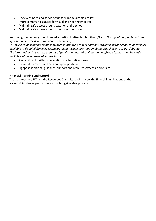- Review of hoist and servicing/upkeep in the disabled toilet.
- Improvements to signage for visual and hearing impaired
- Maintain safe access around exterior of the school
- Maintain safe access around interior of the school

#### **Improving the delivery of written information to disabled families**. (*Due to the age of our pupils, written information is provided to the parents or carers.)*

*This will include planning to make written information that is normally provided by the school to its families available to disabled families. Examples might include information about school events, trips, clubs etc. The information should take account of family members disabilities and preferred formats and be made available within a reasonable time frame.*

- Availability of written information in alternative formats
- Ensure documents and aids are appropriate to need
- Signpost additional guidance, support and resources where appropriate

#### **Financial Planning and control**

The headteacher, SLT and the Resources Committee will review the financial implications of the accessibility plan as part of the normal budget review process.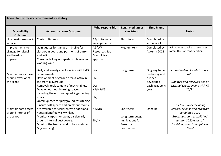| Access to the physical environment - statutory                   |                                                                                                                                                                                                                                                                                                          |                                                          |                                                                             |                                                                                |                                                                                                                                                                                |
|------------------------------------------------------------------|----------------------------------------------------------------------------------------------------------------------------------------------------------------------------------------------------------------------------------------------------------------------------------------------------------|----------------------------------------------------------|-----------------------------------------------------------------------------|--------------------------------------------------------------------------------|--------------------------------------------------------------------------------------------------------------------------------------------------------------------------------|
| <b>Accessibility</b><br><b>Outcome</b>                           | <b>Action to ensure Outcome</b>                                                                                                                                                                                                                                                                          | Who responsible                                          | Long, medium or<br>short-term                                               | <b>Time Frame</b>                                                              | <b>Notes</b>                                                                                                                                                                   |
| Hoist maintenance &<br>service                                   | <b>Contact Stannah</b>                                                                                                                                                                                                                                                                                   | AT/JH to make<br>arrangements                            | Short term                                                                  | Completed by<br>summer 21                                                      |                                                                                                                                                                                |
| Improvements to<br>signage for visual<br>and hearing<br>impaired | Gain quotes for signage in braille for<br>classroom doors and positions of entry<br>and exit.<br>Consider talking notepads on classroom<br>working walls.                                                                                                                                                | AG/LW<br><b>Resources Sub</b><br>Committee to<br>approve | Medium term                                                                 | Completed by<br>Autumn 2022                                                    | Gain quotes to take to resources<br>committee for consideration                                                                                                                |
| Maintain safe access<br>around exterior of<br>the school         | Daily and weekly checks in line with H&S<br>requirements.<br>Development of garden area & astro in<br>the front playground.<br>Removal/replacement of picnic tables.<br>Develop outdoor learning spaces<br>including the enclosed quad & gardening<br>areas.<br>Obtain quotes for playground resurfacing | <b>DW</b><br>EN/JH<br><b>DW</b><br>KR/NB/RS<br>EN/JH     | Long term                                                                   | Ongoing to be<br>underway and<br>further<br>developed<br>each academic<br>year | Calm Garden already in place<br>2019<br>Updated and reviewed use of<br>external spaces in line with FS<br>20/21                                                                |
| Maintain safe access<br>around interior of<br>the school         | Ensure soft spaces and break out rooms<br>are available for children with additional<br>needs identified via My Plan.<br>Monitor carpets for wear, particularly<br>around internal duct covers.<br>Monitor the front corridor floor surface<br>& (screeding).                                            | KR/MN<br>EN/JH                                           | Short term<br>Long term budget<br>implications for<br>Resource<br>Committee | Ongoing                                                                        | Full M&E work including<br>lighting, ceilings and radiators<br>completed 2020<br>Break out room established<br>autumn 2020 with soft<br>furnishings and 'mindfulness<br>décor' |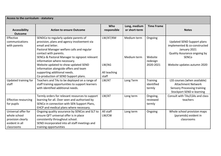| Access to the curriculum - statutory                                                     |                                                                                                                                                                                                                                                                                                                                                                                                                            |                                            |                               |                                             |                                                                                                                                                           |
|------------------------------------------------------------------------------------------|----------------------------------------------------------------------------------------------------------------------------------------------------------------------------------------------------------------------------------------------------------------------------------------------------------------------------------------------------------------------------------------------------------------------------|--------------------------------------------|-------------------------------|---------------------------------------------|-----------------------------------------------------------------------------------------------------------------------------------------------------------|
| <b>Accessibility</b><br><b>Outcome</b>                                                   | <b>Action to ensure Outcome</b>                                                                                                                                                                                                                                                                                                                                                                                            | Who<br>responsible                         | Long, medium<br>or short-term | <b>Time Frame</b>                           | <b>Notes</b>                                                                                                                                              |
| Effective<br>communications<br>with parents                                              | SENDCo to regularly update parents of<br>provision, plans and agency involvement via<br>email and letter.<br>Pastoral Manager welfare calls and regular<br>contact with parents.<br>SENCo & Pastoral Manager to signpost relevant<br>information where necessary.<br>Website updated to show updated SEND<br>information alongside offers and team<br>supporting additional needs.<br>Co-production of SEND Support plans. | LW/AT/KM<br>LW/AG<br>All teaching<br>staff | Medium term<br>Medium term    | Ongoing<br>Website<br>redesign<br>2020-2021 | Updated SEND Support plans<br>implemented & co-constructed<br>January 2021<br>Quality Assurance ongoing by<br><b>SENCO</b><br>Website updates autumn 2020 |
| Updated training for<br>staff                                                            | Teachers and TAs to be deployed on a range of<br>staff training opportunities to support learners<br>with identified additional needs.                                                                                                                                                                                                                                                                                     | LW/AT                                      | Long Term                     | Training<br>identified<br>termly            | LSS courses (when available)<br><b>Attachment Network</b><br><b>Sensory Processing training</b><br><b>Stockport SEND e-learning</b>                       |
| <b>Effective resourcing</b><br>for pupils                                                | Termly orders for relevant resources to support<br>learning for all. Over seen and authorised by<br>SENCo in connection with SEN Support Plans,<br>EHCP and medical plans where necessary.                                                                                                                                                                                                                                 | LW/AT                                      | Long term                     | Ongoing,<br>reviewed<br>termly              | Consult with TAs/LSAs and class<br>teachers                                                                                                               |
| Universal offer for<br>whole school<br>provision clearly<br>evident in all<br>classrooms | Ongoing quality assurance by SENCos and SLT to<br>ensure QFT universal offer is in place<br>consistently throughout school.<br>SEND incorporated into all staff meetings and<br>training opportunities                                                                                                                                                                                                                     | All staff<br>LW/CW                         | Long term                     | Ongoing                                     | Whole school provision maps<br>(pyramids) evident in<br>classrooms                                                                                        |